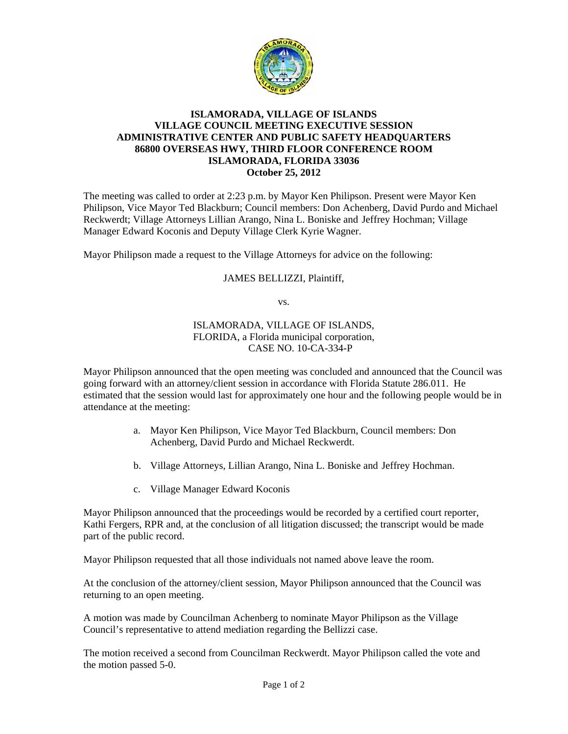

## **ISLAMORADA, VILLAGE OF ISLANDS VILLAGE COUNCIL MEETING EXECUTIVE SESSION ADMINISTRATIVE CENTER AND PUBLIC SAFETY HEADQUARTERS 86800 OVERSEAS HWY, THIRD FLOOR CONFERENCE ROOM ISLAMORADA, FLORIDA 33036 October 25, 2012**

The meeting was called to order at 2:23 p.m. by Mayor Ken Philipson. Present were Mayor Ken Philipson, Vice Mayor Ted Blackburn; Council members: Don Achenberg, David Purdo and Michael Reckwerdt; Village Attorneys Lillian Arango, Nina L. Boniske and Jeffrey Hochman; Village Manager Edward Koconis and Deputy Village Clerk Kyrie Wagner.

Mayor Philipson made a request to the Village Attorneys for advice on the following:

## JAMES BELLIZZI, Plaintiff,

vs.

## ISLAMORADA, VILLAGE OF ISLANDS, FLORIDA, a Florida municipal corporation, CASE NO. 10-CA-334-P

Mayor Philipson announced that the open meeting was concluded and announced that the Council was going forward with an attorney/client session in accordance with Florida Statute 286.011. He estimated that the session would last for approximately one hour and the following people would be in attendance at the meeting:

- a. Mayor Ken Philipson, Vice Mayor Ted Blackburn, Council members: Don Achenberg, David Purdo and Michael Reckwerdt.
- b. Village Attorneys, Lillian Arango, Nina L. Boniske and Jeffrey Hochman.
- c. Village Manager Edward Koconis

Mayor Philipson announced that the proceedings would be recorded by a certified court reporter, Kathi Fergers, RPR and, at the conclusion of all litigation discussed; the transcript would be made part of the public record.

Mayor Philipson requested that all those individuals not named above leave the room.

At the conclusion of the attorney/client session, Mayor Philipson announced that the Council was returning to an open meeting.

A motion was made by Councilman Achenberg to nominate Mayor Philipson as the Village Council's representative to attend mediation regarding the Bellizzi case.

The motion received a second from Councilman Reckwerdt. Mayor Philipson called the vote and the motion passed 5-0.